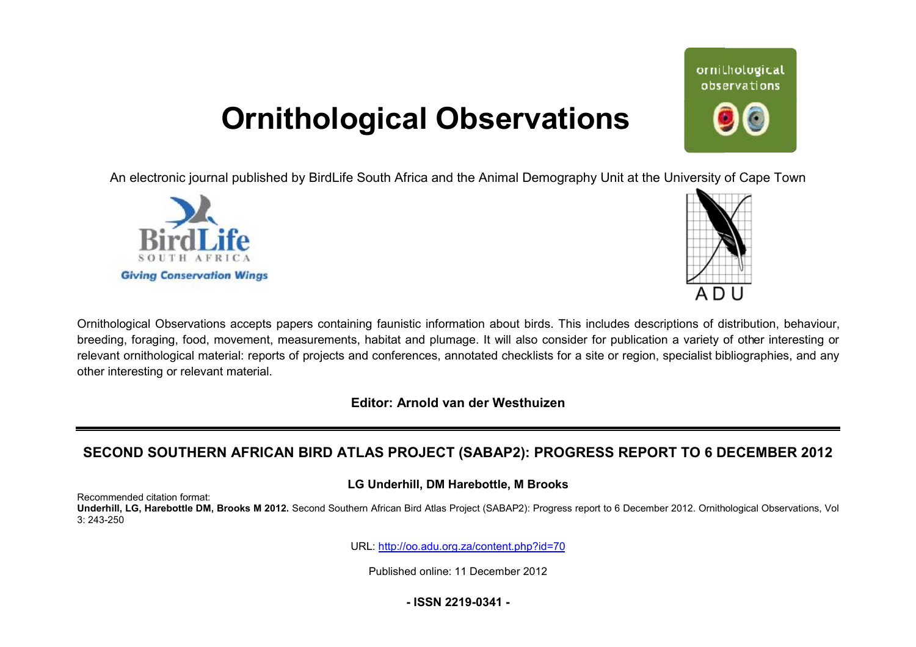# **Ornithological Observations**

An electronic journal published by BirdLife South Africa and the Animal Demography Unit at the University of Cape Town





ornithological observations

Ornithological Observations accepts papers containing faunistic information about birds. This includes descriptions of distribution, behaviour, breeding, foraging, food, movement, measurements, habitat and plumage. It will also consider for publication a variety of other interesting or relevant ornithological material: reports of projects and conferences, annotated checklists for a site or region, specialist bibliographies, and any other interesting or relevant material.

**Editor: Arnold van der Westhuizen**

# SECOND SOUTHERN AFRICAN BIRD ATLAS PROJECT (SABAP2): PROGRESS REPORT TO 6 DECEMBER 2012

### **LG Underhill, DM Harebottle, M Brooks**

Recommended citation format: Underhill, LG, Harebottle DM, Brooks M 2012. Second Southern African Bird Atlas Project (SABAP2): Progress report to 6 December 2012. Ornithological Observations, Vol 3: 243-250

URL: <http://oo.adu.org.za/content.php?id=70>

Published online: 11 December 2012

**- ISSN 2219-0341 -**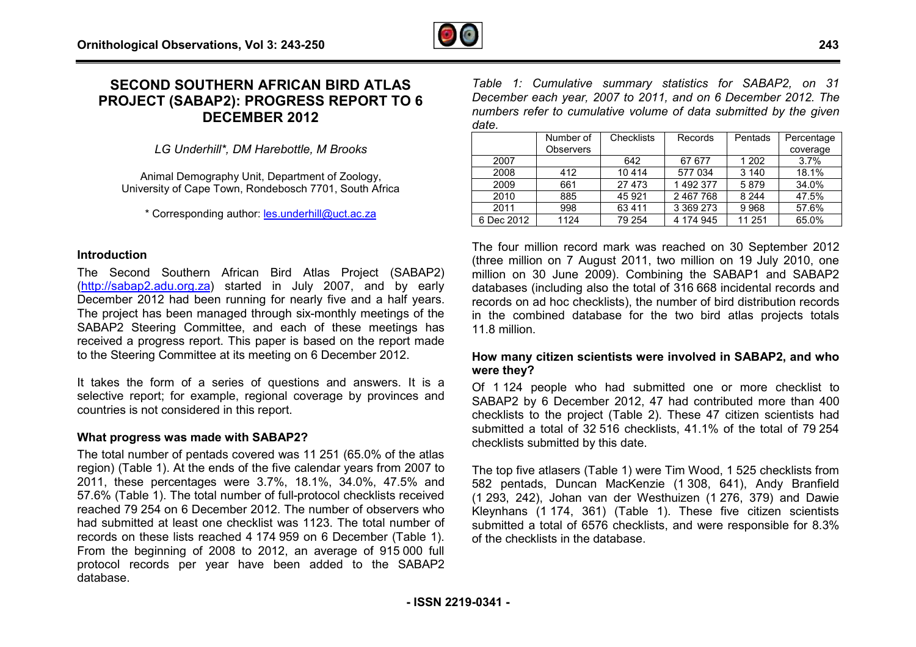# **SECOND SOUTHERN AFRICAN BIRD ATLAS PROJECT (SABAP2): PROGRESS REPORT TO 6 CAN OGRESSDECEMBER 2012**

*LG Underhill\*, DM Harebottle, M Brooks*

Animal Demography Unit, Department of Zoology, University of Cape Town, Rondebosch 7701, South Africa

\* Corresponding author: **les.underhill@uct.ac.za** 

#### **Introduction**

The Second Southern African Bird Atlas Project (SABAP2) (<http://sabap2.adu.org.za>) started in July 2007, and by early December 2012 had been running for nearly five and a half years. The project has been managed through six-monthly meetings of the SABAP2 Steering Committee, and each of these meetings has received a progress report. This paper is based on the report made to the Steering Committee at its meeting on 6 December 2012. monthly<br>of these<br>sed on

It takes the form of a series of questions and answers. It is a selective report; for example, regional coverage by provinces and countries is not considered in this report.

#### **What progress was made with SABAP2?**

The total number of pentads covered was 11 251 (65.0% of the atlas region) (Table 1). At the ends of the five calendar years from 2007 to 2011, these percentages were 3.7%, 18.1%, 34.0%, 47.5% and 57.6% (Table 1). The total number of full-protocol checklists received reached 79 254 on 6 December 2012. The number of observers who had submitted at least one checklist was 1123. The total number of records on these lists reached 4 174 959 on 6 December (Table 1). 57.6% (Table 1). The total number of full-protocol checklists received reached 79 254 on 6 December 2012. The number of observers who had submitted at least one checklist was 1123. The total number of records on these list protocol records per year have been added to the SABAP2 database.

*Table 1: Cumulative summary statistics for SABAP2, on 31 December each year, 2007 to 2011, and on 6 December 2012. The numbers refer to cumulative volume of data submitted by the given date.* 

|            | Number of        | Checklists | Records       | Pentads | Percentage |  |
|------------|------------------|------------|---------------|---------|------------|--|
|            | <b>Observers</b> |            |               |         | coverage   |  |
| 2007       |                  | 642        | 67 677        | 1 202   | 3.7%       |  |
| 2008       | 412              | 10414      | 577 034       | 3 1 4 0 | 18.1%      |  |
| 2009       | 661              | 27 473     | 1 492 377     | 5879    | 34.0%      |  |
| 2010       | 885              | 45 9 21    | 2 467 768     | 8 2 4 4 | 47.5%      |  |
| 2011       | 998              | 63411      | 3 3 6 9 2 7 3 | 9968    | 57.6%      |  |
| 6 Dec 2012 | 1124             | 79 254     | 4 174 945     | 11 251  | 65.0%      |  |

The four million record mark was reached on 30 September 2012 (three million on 7 August 2011, two million on 19 July 2010, one million on 30 June 2009). Combining the SABAP1 and SABAP2 databases (including also the total of 316 668 incidental records and records on ad hoc checklists), the number of bird distribution records in the combined database for the two bird atlas projects totals 11.8 million.

#### **How many citizen scientists were involved in SABAP2, and who were they?**

Of 1 124 people who had submitted one or more checklist to SABAP2 by 6 December 2012, 47 had contributed more than 400 checklists to the project (Table 2). These 47 citizen scientists had submitted a total of 32 516 checklists, 41.1% of the total of 79 254 checklists submitted by this date.

The top five atlasers (Table 1) were Tim Wood, 1 525 checklists from 582 pentads, Duncan MacKenzie (1 308, 641), Andy Branfield (1 293, 242), Johan van der Westhuizen (1 276, 379) and Dawie Kleynhans (1 174, 361) (Table 1). These five citizen scientists submitted a total of 6576 checklists, and were responsible for 8.3% of the checklists in the database.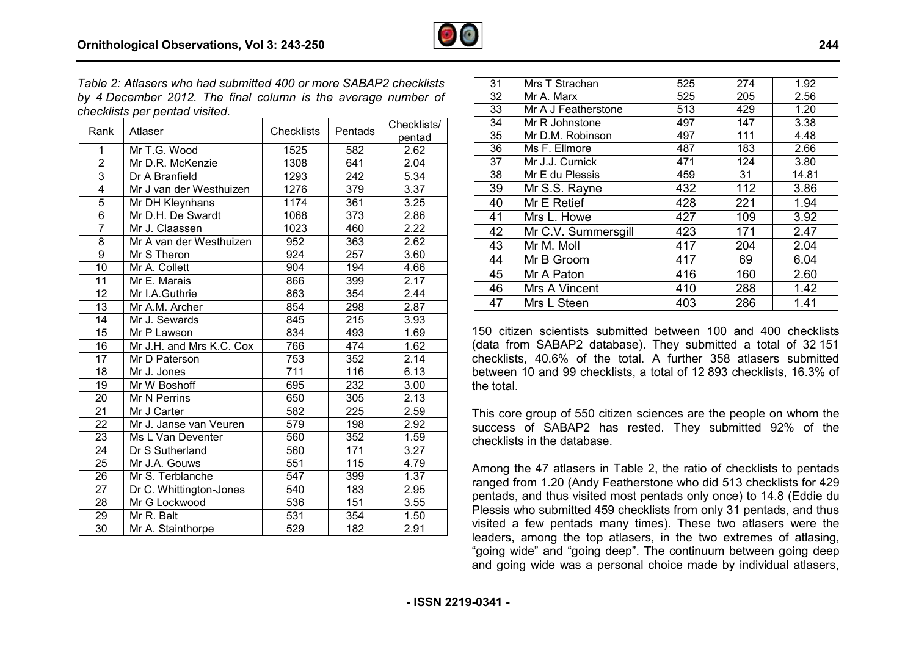

*Table 2: Atlasers who had submitted 400 or more SABAP2 checklists by 4 December 2012. The final column is the average .number of checklists per pentad visited.* 

| Rank            | Atlaser                  | <b>Checklists</b> | Pentads | Checklists/       |
|-----------------|--------------------------|-------------------|---------|-------------------|
|                 |                          |                   |         | pentad            |
| 1               | Mr T.G. Wood             | 1525              | 582     | 2.62              |
| $\overline{2}$  | Mr D.R. McKenzie         | 1308              | 641     | 2.04              |
| $\overline{3}$  | Dr A Branfield           | 1293              | 242     | 5.34              |
| $\overline{4}$  | Mr J van der Westhuizen  | 1276              | 379     | $\overline{3.37}$ |
| $\overline{5}$  | Mr DH Kleynhans          | 1174              | 361     | 3.25              |
| $\overline{6}$  | Mr D.H. De Swardt        | 1068              | 373     | 2.86              |
| $\overline{7}$  | Mr J. Claassen           | 1023              | 460     | 2.22              |
| 8               | Mr A van der Westhuizen  | 952               | 363     | 2.62              |
| 9               | Mr S Theron              | 924               | 257     | 3.60              |
| 10              | Mr A. Collett            | 904               | 194     | 4.66              |
| 11              | Mr E. Marais             | 866               | 399     | 2.17              |
| 12              | Mr I.A.Guthrie           | 863               | 354     | 2.44              |
| $\overline{13}$ | Mr A.M. Archer           | 854               | 298     | 2.87              |
| 14              | Mr J. Sewards            | 845               | 215     | 3.93              |
| 15              | Mr P Lawson              | 834               | 493     | 1.69              |
| 16              | Mr J.H. and Mrs K.C. Cox | 766               | 474     | 1.62              |
| 17              | Mr D Paterson            | 753               | 352     | 2.14              |
| 18              | Mr J. Jones              | 711               | 116     | 6.13              |
| 19              | Mr W Boshoff             | 695               | 232     | 3.00              |
| $\overline{20}$ | Mr N Perrins             | 650               | 305     | 2.13              |
| 21              | Mr J Carter              | 582               | 225     | 2.59              |
| 22              | Mr J. Janse van Veuren   | 579               | 198     | 2.92              |
| 23              | Ms L Van Deventer        | 560               | 352     | 1.59              |
| 24              | Dr S Sutherland          | 560               | 171     | 3.27              |
| 25              | Mr J.A. Gouws            | 551               | 115     | 4.79              |
| 26              | Mr S. Terblanche         | 547               | 399     | 1.37              |
| 27              | Dr C. Whittington-Jones  | 540               | 183     | 2.95              |
| 28              | Mr G Lockwood            | 536               | 151     | 3.55              |
| 29              | Mr R. Balt               | 531               | 354     | 1.50              |
| $\overline{30}$ | Mr A. Stainthorpe        | 529               | 182     | 2.91              |

| 31 | Mrs T Strachan      | 525 | 274 | 1.92  |
|----|---------------------|-----|-----|-------|
| 32 | Mr A. Marx          | 525 | 205 | 2.56  |
| 33 | Mr A J Featherstone | 513 | 429 | 1.20  |
| 34 | Mr R Johnstone      | 497 | 147 | 3.38  |
| 35 | Mr D.M. Robinson    | 497 | 111 | 4.48  |
| 36 | Ms F. Ellmore       | 487 | 183 | 2.66  |
| 37 | Mr J.J. Curnick     | 471 | 124 | 3.80  |
| 38 | Mr E du Plessis     | 459 | 31  | 14.81 |
| 39 | Mr S.S. Rayne       | 432 | 112 | 3.86  |
| 40 | Mr E Retief         | 428 | 221 | 1.94  |
| 41 | Mrs L. Howe         | 427 | 109 | 3.92  |
| 42 | Mr C.V. Summersgill | 423 | 171 | 2.47  |
| 43 | Mr M. Moll          | 417 | 204 | 2.04  |
| 44 | Mr B Groom          | 417 | 69  | 6.04  |
| 45 | Mr A Paton          | 416 | 160 | 2.60  |
| 46 | Mrs A Vincent       | 410 | 288 | 1.42  |
| 47 | Mrs L Steen         | 403 | 286 | 1.41  |
|    |                     |     |     |       |

150 citizen scientists submitted between 100 and 400 checklists 50(data from SABAP2 database). They submitted a total of 32 151 checklists, 40.6% of the total. A further 358 atlasers submitted between 10 and 99 checklists, a total of 12 893 checklists, 16.3% of the total.

This core group of 550 citizen sciences are the people on whom the success of SABAP2 has rested. They submitted 92% of the checklists in the database.

Among the 47 atlasers in Table 2, the ratio of checklists to pentads ranged from 1.20 (Andy Featherstone who did 513 checklists for 429 pentads, and thus visited most pentads only once) to 14.8 (Eddie du Plessis who submitted 459 checklists from only 31 pentads, and thus visited a few pentads many times). These two atlasers were the leaders, among the top atlasers, in the two extremes of atlasing, "going wide" and "going deep". The continuum between going deep and going wide was a personal choice made by individual atlasers, g the 47 atlasers in Table 2, the ratio of checklists to pentads<br>d from 1.20 (Andy Featherstone who did 513 checklists for 429<br>ds, and thus visited most pentads only once) to 14.8 (Eddie du<br>is who submitted 459 checklists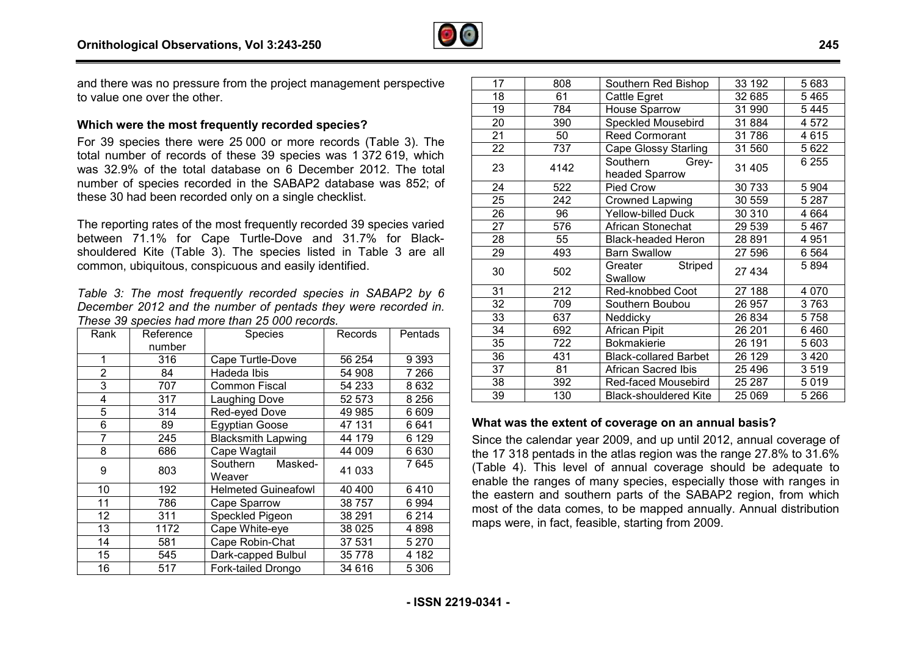

and there was no pressure from the project management perspective to value one over the other.

#### **Which were the most frequently recorded species?**

For 39 species there were 25 000 or more records (Table 3). The total number of records of these 39 species was 1 372 619, which was 32.9% of the total database on 6 December 2012. The total number of species recorded in the SABAP2 database was 852; of these 30 had been recorded only on a single checklist.

The reporting rates of the most frequently recorded 39 species varied between 71.1% for Cape Turtle-Dove and 31.7% for Blackshouldered Kite (Table 3). The species listed in Table 3 are all common, ubiquitous, conspicuous and easily identified.

*Table 3: The most frequently recorded species in SABA SABAP2 by 6 December 2012 and the number of pentads they were recorded in. These 39 species had more than 25 000 records.* 

| Rank           | Reference | Species                       | Records  | Pentads |
|----------------|-----------|-------------------------------|----------|---------|
|                | number    |                               |          |         |
| 1              | 316       | Cape Turtle-Dove              | 56 254   | 9 3 9 3 |
| $\overline{2}$ | 84        | Hadeda Ibis                   | 54 908   | 7 266   |
| 3              | 707       | <b>Common Fiscal</b>          | 54 233   | 8632    |
| 4              | 317       | Laughing Dove                 | 52 573   | 8 2 5 6 |
| 5              | 314       | Red-eyed Dove                 | 49 985   | 6 609   |
| 6              | 89        | <b>Egyptian Goose</b>         | 47 131   | 6641    |
| 7              | 245       | <b>Blacksmith Lapwing</b>     | 44 179   | 6 1 2 9 |
| 8              | 686       | Cape Wagtail                  | 44 009   | 6630    |
| 9              | 803       | Masked-<br>Southern<br>Weaver | 41 033   | 7 645   |
| 10             | 192       | <b>Helmeted Guineafowl</b>    | 40 400   | 6410    |
| 11             | 786       | Cape Sparrow                  | 38 7 5 7 | 6994    |
| 12             | 311       | Speckled Pigeon               | 38 291   | 6214    |
| 13             | 1172      | Cape White-eye                | 38 0 25  | 4898    |
| 14             | 581       | Cape Robin-Chat               | 37 531   | 5 2 7 0 |
| 15             | 545       | Dark-capped Bulbul            | 35 7 7 8 | 4 182   |
| 16             | 517       | Fork-tailed Drongo            | 34 616   | 5 3 0 6 |

| 17 | 808  | Southern Red Bishop                 | 33 192  | 5683    |
|----|------|-------------------------------------|---------|---------|
| 18 | 61   | Cattle Egret                        | 32 685  | 5465    |
| 19 | 784  | House Sparrow                       | 31 990  | 5445    |
| 20 | 390  | Speckled Mousebird                  | 31 884  | 4572    |
| 21 | 50   | <b>Reed Cormorant</b>               | 31 786  | 4615    |
| 22 | 737  | Cape Glossy Starling                | 31 560  | 5622    |
| 23 | 4142 | Southern<br>Grey-<br>headed Sparrow | 31 405  | 6 2 5 5 |
| 24 | 522  | Pied Crow                           | 30 733  | 5 9 0 4 |
| 25 | 242  | <b>Crowned Lapwing</b>              | 30 559  | 5 2 8 7 |
| 26 | 96   | <b>Yellow-billed Duck</b>           | 30 310  | 4 6 6 4 |
| 27 | 576  | African Stonechat                   | 29 539  | 5467    |
| 28 | 55   | <b>Black-headed Heron</b>           | 28 891  | 4951    |
| 29 | 493  | <b>Barn Swallow</b>                 | 27 596  | 6 5 64  |
| 30 | 502  | Striped<br>Greater<br>Swallow       | 27 434  | 5894    |
| 31 | 212  | Red-knobbed Coot                    | 27 188  | 4 0 7 0 |
| 32 | 709  | Southern Boubou                     | 26 957  | 3763    |
| 33 | 637  | Neddicky                            | 26 834  | 5758    |
| 34 | 692  | African Pipit                       | 26 201  | 6460    |
| 35 | 722  | <b>Bokmakierie</b>                  | 26 191  | 5603    |
| 36 | 431  | <b>Black-collared Barbet</b>        | 26 129  | 3 4 2 0 |
| 37 | 81   | <b>African Sacred Ibis</b>          | 25 4 96 | 3519    |
| 38 | 392  | Red-faced Mousebird                 | 25 287  | 5019    |
| 39 | 130  | <b>Black-shouldered Kite</b>        | 25 069  | 5 2 6 6 |

#### **What was the extent of coverage on an annual basis?**

Since the calendar year 2009, and up until 2012, annual coverage of the 17 318 pentads in the atlas region was the range 27.8% to 31.6% (Table 4). This level of annual coverage should be adequate to enable the ranges of many species, especially those with ranges in the eastern and southern parts of the SABAP2 region, from which most of the data comes, to be mapped annually. Annual distribution maps were, in fact, feasible, starting from 2009.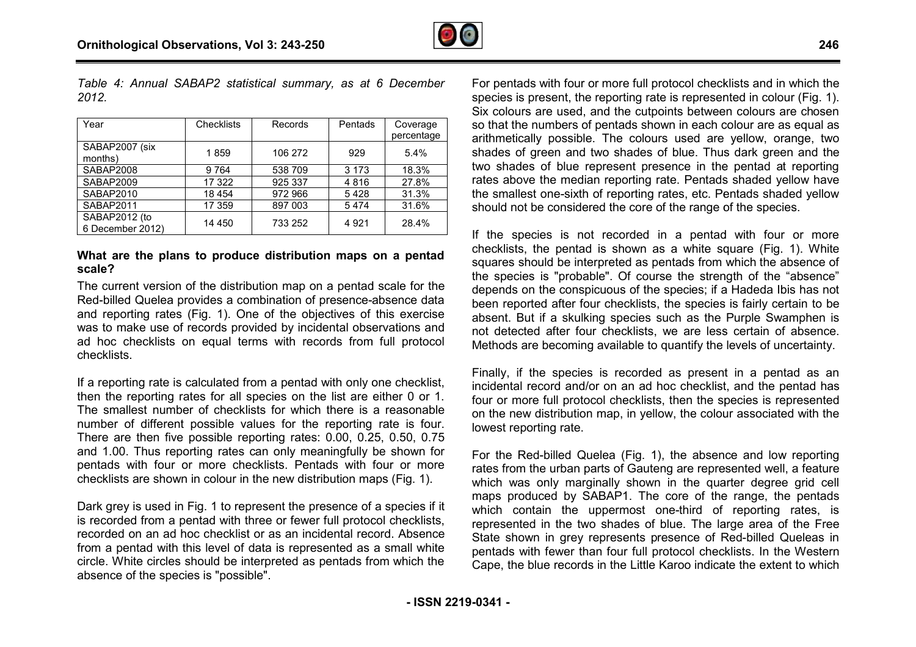

*Table 4: Annual SABAP2 statistical summary, as at 6 December 2012.* 

| Year                              | <b>Checklists</b> | Records | Pentads | Coverage<br>percentage |
|-----------------------------------|-------------------|---------|---------|------------------------|
| SABAP2007 (six<br>months)         | 1859              | 106 272 | 929     | 5.4%                   |
| SABAP2008                         | 9764              | 538 709 | 3 1 7 3 | 18.3%                  |
| SABAP2009                         | 17 322            | 925 337 | 4816    | 27.8%                  |
| SABAP2010                         | 18 4 54           | 972 966 | 5428    | 31.3%                  |
| SABAP2011                         | 17 359            | 897 003 | 5474    | 31.6%                  |
| SABAP2012 (to<br>6 December 2012) | 14 450            | 733 252 | 4921    | 28.4%                  |

#### **What are the plans to produce distribution maps on a pentad scale?**

The current version of the distribution map on a pentad scale for the Red-billed Quelea provides a combination of presence-absence data and reporting rates (Fig. 1). One of the objectives of this exercise was to make use of records provided by incidental observations and ad hoc checklists on equal terms with records from full protocol checklists.

If a reporting rate is calculated from a pentad with only one checklist, then the reporting rates for all species on the list are either 0 or 1. The smallest number of checklists for which there is a reasonable number of different possible values for the reporting rate is four. There are then five possible reporting rates: 0.00, 0.25, 0.50, 0.75 and 1.00. Thus reporting rates can only meaningfully be shown for pentads with four or more checklists. Pentads with four or more checklists are shown in colour in the new distribution maps (Fig. 1). use of records provided by incidental observations and<br>klists on equal terms with records from full protocol<br>rate is calculated from a pentad with only one checklist,<br>orting rates for all species on the list are either 0 o

Dark grey is used in Fig. 1 to represent the presence of a species if it is recorded from a pentad with three or fewer full protocol checklists, recorded on an ad hoc checklist or as an incidental record. Absence from a pentad with this level of data is represented as a small white circle. White circles should be interpreted as pentads from absence of the species is "possible".

For pentads with four or more full protocol checklists and in which the species is present, the reporting rate is represented in colour (Fig. 1). Six colours are used, and the cutpoints between colours are chosen so that the numbers of pentads shown in each colour are as equal as arithmetically possible. The colours used are yellow, orange, two shades of green and two shades of blue. Thus dark green and the two shades of blue represent presence in the pentad at reporting rates above the median reporting rate. Pentads shaded yellow have the smallest one-sixth of reporting rates, etc. Pentads shaded yellow should not be considered the core of the range of the species. the smallest one-sixth of reporting rates, etc. Pentads shaded yellow<br>should not be considered the core of the range of the species.<br>If the species is not recorded in a pentad with four or more

checklists, the pentad is shown as a white square (Fig. 1). White squares should be interpreted as pentads from which the absence of the species is "probable". Of course the strength of the "absence" depends on the conspicuous of the species; if a Hadeda Ibis has not been reported after four checklists, the species is fairly certain to be absent. But if a skulking species such as the Purple Swamphen is not detected after four checklists, we are less certain of absence. Methods are becoming available to quantify the levels of uncertainty.

Finally, if the species is recorded as present in a pentad as an incidental record and/or on an ad hoc checklist, and the pentad has four or more full protocol checklists, then the species is represented on the new distribution map, in yellow, the colour associated with the lowest reporting rate.

For the Red-billed Quelea (Fig. 1), the absence and low reporting rates from the urban parts of Gauteng are represented well, a feature which was only marginally shown in the quarter degree grid cell maps produced by SABAP1. The core of the range, the pentads which contain the uppermost one-third of reporting rates, is represented in the two shades of blue. The large area of the Free State shown in grey represents presence of Red-billed Queleas in pentads with fewer than four full protocol checklists. In the Western Cape, the blue records in the Little Karoo indicate the extent to which he conspicuous of the species; if a Hadeda Ibis has not<br>a difter four checklists, the species is fairly certain to be<br>f a skulking species such as the Purple Swamphen is<br>after four checklists, we are less certain of absenc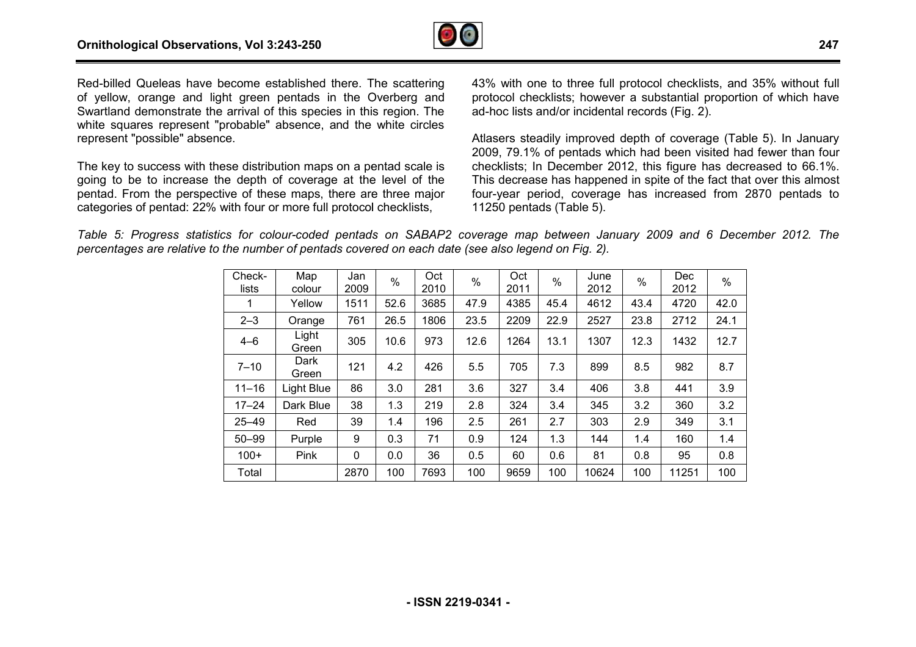

Red-billed Queleas have become established there. The scattering of yellow, orange and light green pentads in the Overberg and Red-billed Queleas have become established there. The scattering<br>of yellow, orange and light green pentads in the Overberg and<br>Swartland demonstrate the arrival of this species in this region. The white squares represent "probable" absence, and the white circles represent "possible" absence.

The key to success with these distribution maps on a pentad scale is going to be to increase the depth of coverage at the level of the pentad. From the perspective of these maps, there are three major categories of pentad: 22% with four or more full protocol checklists,

protocol checklists; however a substantial proportion of which have ad-hoc lists and/or incidental records (Fig. 2).

here. The scattering 43% with one to three full protocol checklists, and 35% without full<br>the Overberg and protocol checklists; however a substantial proportion of which have<br>s in this region. The ad-hoc lists and/or incid Atlasers steadily improved depth of coverage (Table 5). In January 2009, 79.1% of pentads which had been visited had fewer than four checklists; In December 2012, this figure has decreased to 66.1%. This decrease has happened in spite of the fact that over this almost four-year period, coverage has increased from 2870 pentads to 11250 pentads (Table 5).

Table 5: Progress statistics for colour-coded pentads on SABAP2 coverage map between January 2009 and 6 December 2012. The *percentages are relative to the number of pentads covered on each date (see also legend on Fig. 2).*

| Check-<br>lists | Map<br>colour  | Jan<br>2009 | $\%$ | Oct<br>2010 | $\%$ | Oct<br>2011 | $\%$ | June<br>2012 | $\%$ | <b>Dec</b><br>2012 | %    |
|-----------------|----------------|-------------|------|-------------|------|-------------|------|--------------|------|--------------------|------|
| 1               | Yellow         | 1511        | 52.6 | 3685        | 47.9 | 4385        | 45.4 | 4612         | 43.4 | 4720               | 42.0 |
|                 |                |             |      |             |      |             |      |              |      |                    |      |
| $2 - 3$         | Orange         | 761         | 26.5 | 1806        | 23.5 | 2209        | 22.9 | 2527         | 23.8 | 2712               | 24.1 |
| $4 - 6$         | Light<br>Green | 305         | 10.6 | 973         | 12.6 | 1264        | 13.1 | 1307         | 12.3 | 1432               | 12.7 |
| $7 - 10$        | Dark<br>Green  | 121         | 4.2  | 426         | 5.5  | 705         | 7.3  | 899          | 8.5  | 982                | 8.7  |
| $11 - 16$       | Light Blue     | 86          | 3.0  | 281         | 3.6  | 327         | 3.4  | 406          | 3.8  | 441                | 3.9  |
| $17 - 24$       | Dark Blue      | 38          | 1.3  | 219         | 2.8  | 324         | 3.4  | 345          | 3.2  | 360                | 3.2  |
| $25 - 49$       | Red            | 39          | 1.4  | 196         | 2.5  | 261         | 2.7  | 303          | 2.9  | 349                | 3.1  |
| $50 - 99$       | Purple         | 9           | 0.3  | 71          | 0.9  | 124         | 1.3  | 144          | 1.4  | 160                | 1.4  |
| $100+$          | Pink           | 0           | 0.0  | 36          | 0.5  | 60          | 0.6  | 81           | 0.8  | 95                 | 0.8  |
| Total           |                | 2870        | 100  | 7693        | 100  | 9659        | 100  | 10624        | 100  | 11251              | 100  |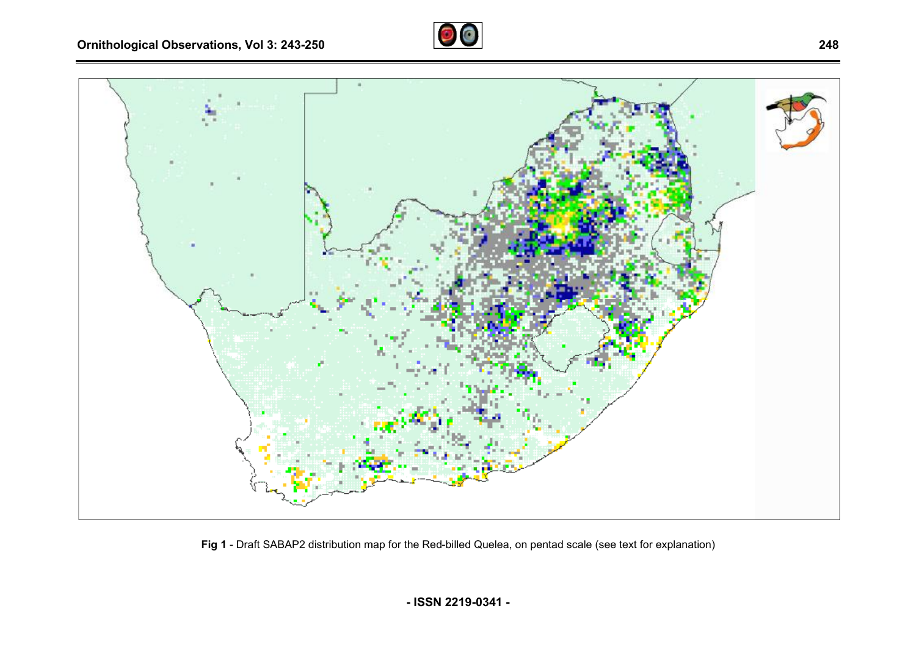



Fig 1 - Draft SABAP2 distribution map for the Red-billed Quelea, on pentad scale (see text for explanation)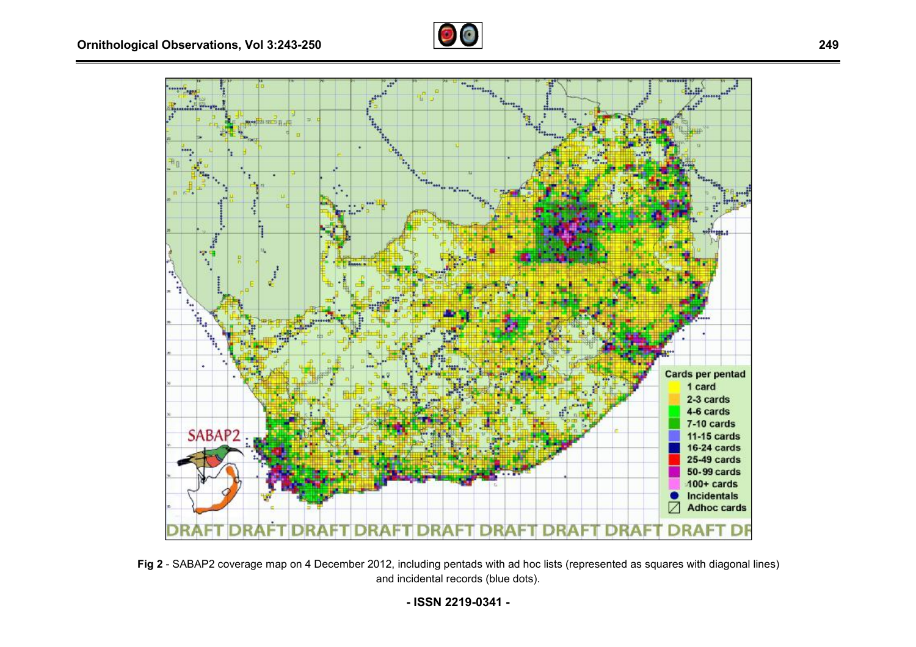



**Fig 2** - SABAP2 coverage map on 4 December 2012, including pentads with ad hoc lists (represented as squares with diagonal lines) and incidental records (blue dots).

**- ISSN 2219-0341 -**